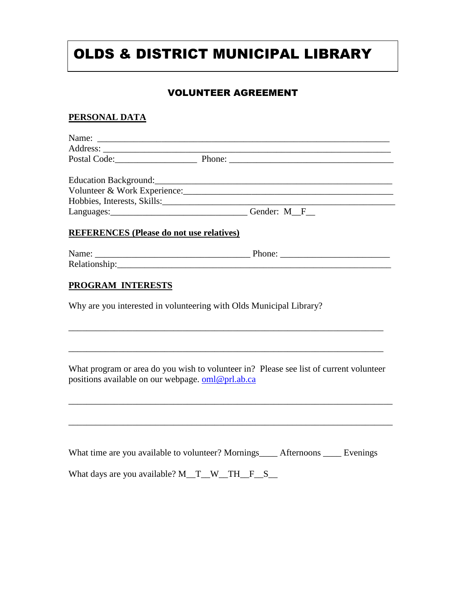## OLDS & DISTRICT MUNICIPAL LIBRARY

## VOLUNTEER AGREEMENT

## **PERSONAL DATA**

|                                                 | Postal Code: Postal Code: Phone: Phone: 2008                        |
|-------------------------------------------------|---------------------------------------------------------------------|
|                                                 |                                                                     |
|                                                 |                                                                     |
|                                                 | Hobbies, Interests, Skills:                                         |
|                                                 | Languages: Canadian Communication Cender: M_F_                      |
| <b>REFERENCES (Please do not use relatives)</b> |                                                                     |
|                                                 |                                                                     |
|                                                 |                                                                     |
| PROGRAM INTERESTS                               | Why are you interested in volunteering with Olds Municipal Library? |
|                                                 |                                                                     |
|                                                 |                                                                     |
|                                                 |                                                                     |
|                                                 |                                                                     |
|                                                 |                                                                     |

What program or area do you wish to volunteer in? Please see list of current volunteer positions available on our webpage. [oml@prl.ab.ca](mailto:oml@prl.ab.ca)

\_\_\_\_\_\_\_\_\_\_\_\_\_\_\_\_\_\_\_\_\_\_\_\_\_\_\_\_\_\_\_\_\_\_\_\_\_\_\_\_\_\_\_\_\_\_\_\_\_\_\_\_\_\_\_\_\_\_\_\_\_\_\_\_\_\_\_\_\_\_\_

\_\_\_\_\_\_\_\_\_\_\_\_\_\_\_\_\_\_\_\_\_\_\_\_\_\_\_\_\_\_\_\_\_\_\_\_\_\_\_\_\_\_\_\_\_\_\_\_\_\_\_\_\_\_\_\_\_\_\_\_\_\_\_\_\_\_\_\_\_\_\_

| What time are you available to volunteer? Mornings_____ Afternoons _____ Evenings |  |  |  |  |  |
|-----------------------------------------------------------------------------------|--|--|--|--|--|
| What days are you available? $M$ T W TH F S                                       |  |  |  |  |  |